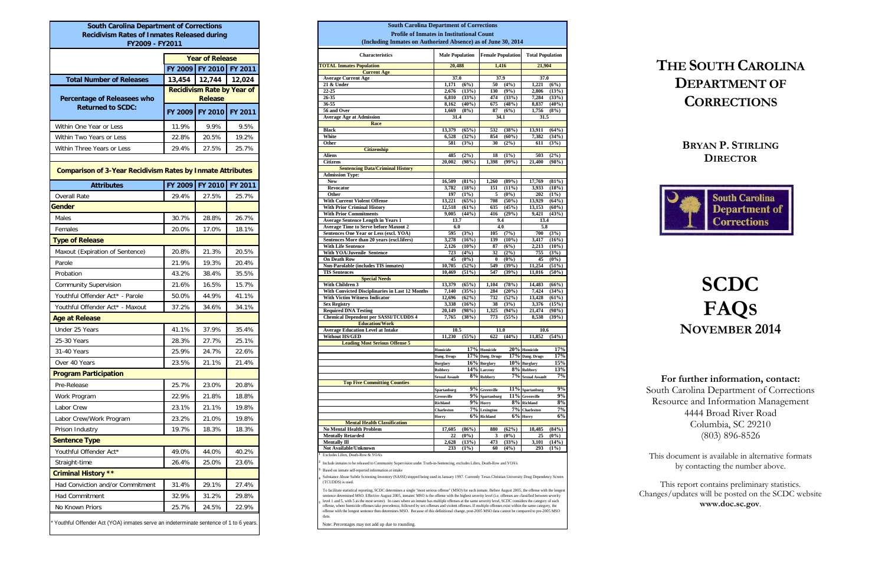| <b>South Carolina Department of Corrections</b><br><b>Recidivism Rates of Inmates Released during</b> |                        |                                                     |         |  |  |
|-------------------------------------------------------------------------------------------------------|------------------------|-----------------------------------------------------|---------|--|--|
| FY2009 - FY2011                                                                                       |                        |                                                     |         |  |  |
|                                                                                                       | <b>Year of Release</b> |                                                     |         |  |  |
|                                                                                                       | <b>FY 2009</b>         | FY 2010                                             | FY 2011 |  |  |
| <b>Total Number of Releases</b>                                                                       | 13,454                 | 12,744                                              | 12,024  |  |  |
| Percentage of Releasees who                                                                           |                        | <b>Recidivism Rate by Year of</b><br><b>Release</b> |         |  |  |
| <b>Returned to SCDC:</b>                                                                              | FY 2009                | FY 2010                                             | FY 2011 |  |  |
| Within One Year or Less                                                                               | 11.9%                  | 9.9%                                                | 9.5%    |  |  |
| Within Two Years or Less                                                                              | 22.8%                  | 20.5%                                               | 19.2%   |  |  |
| Within Three Years or Less                                                                            | 29.4%                  | 27.5%                                               | 25.7%   |  |  |
| <b>Comparison of 3-Year Recidivism Rates by Inmate Attributes</b>                                     |                        |                                                     |         |  |  |
| <b>Attributes</b>                                                                                     | FY 2009                | <b>FY 2010</b>                                      | FY 2011 |  |  |
| <b>Overall Rate</b>                                                                                   | 29.4%                  | 27.5%                                               | 25.7%   |  |  |
| Gender                                                                                                |                        |                                                     |         |  |  |
| Males                                                                                                 | 30.7%                  | 28.8%                                               | 26.7%   |  |  |
| Females                                                                                               | 20.0%                  | 17.0%                                               | 18.1%   |  |  |
| <b>Type of Release</b>                                                                                |                        |                                                     |         |  |  |
| Maxout (Expiration of Sentence)                                                                       | 20.8%                  | 21.3%                                               | 20.5%   |  |  |
| Parole                                                                                                | 21.9%                  | 19.3%                                               | 20.4%   |  |  |
| Probation                                                                                             | 43.2%                  | 38.4%                                               | 35.5%   |  |  |
| <b>Community Supervision</b>                                                                          | 21.6%                  | 16.5%                                               | 15.7%   |  |  |
| Youthful Offender Act* - Parole                                                                       | 50.0%                  | 44.9%                                               | 41.1%   |  |  |
| Youthful Offender Act* - Maxout                                                                       | 37.2%                  | 34.6%                                               | 34.1%   |  |  |
| <b>Age at Release</b>                                                                                 |                        |                                                     |         |  |  |
| Under 25 Years                                                                                        | 41.1%                  | 37.9%                                               | 35.4%   |  |  |
| 25-30 Years                                                                                           | 28.3%                  | 27.7%                                               | 25.1%   |  |  |
| 31-40 Years                                                                                           | 25.9%                  | 24.7%                                               | 22.6%   |  |  |
| Over 40 Years                                                                                         | 23.5%                  | 21.1%                                               | 21.4%   |  |  |
| <b>Program Participation</b>                                                                          |                        |                                                     |         |  |  |
| Pre-Release                                                                                           | 25.7%                  | 23.0%                                               | 20.8%   |  |  |
| Work Program                                                                                          | 22.9%                  | 21.8%                                               | 18.8%   |  |  |
| Labor Crew                                                                                            | 23.1%                  | 21.1%                                               | 19.8%   |  |  |
| Labor Crew/Work Program                                                                               | 23.2%                  | 21.0%                                               | 19.8%   |  |  |
| Prison Industry                                                                                       | 19.7%                  | 18.3%                                               | 18.3%   |  |  |
| <b>Sentence Type</b>                                                                                  |                        |                                                     |         |  |  |
| Youthful Offender Act*                                                                                | 49.0%                  | 44.0%                                               | 40.2%   |  |  |
| Straight-time                                                                                         | 26.4%                  | 25.0%                                               | 23.6%   |  |  |
| <b>Criminal History **</b>                                                                            |                        |                                                     |         |  |  |
| Had Conviction and/or Commitment                                                                      | 31.4%                  | 29.1%                                               | 27.4%   |  |  |
| Had Commitment                                                                                        | 32.9%                  | 31.2%                                               | 29.8%   |  |  |
| No Known Priors                                                                                       | 25.7%                  | 24.5%                                               | 22.9%   |  |  |
| * Youthful Offender Act (YOA) inmates serve an indeterminate sentence of 1 to 6 years.                |                        |                                                     |         |  |  |

To facilitate statistical reporting, SCDC determines a single "most serious offense" (MSO) for each inmate. Before August 2005, the offense with the longest<br>sentence determined MSO. Effective August 2005, inmates' MSO is t level 1 and 5, with 5 as the most severe). In cases where an inmate has multiple offenses at the same severity level, SCDC considers the category of each offense, where homicide offenses take precedence, followed by sex offenses and violent offenses. If multiple offenses exist within the same category, the offense with the longest sentence then determines MSO. Because of this definitional change, post-2005 MSO data cannot be compared to pre-2005 MSO data.

**4**

| <b>Profile of Inmates in Institutional Count</b><br>(Including Inmates on Authorized Absence) as of June 30, 2014       |                                      |                 |                               |                          |                                               |                         |
|-------------------------------------------------------------------------------------------------------------------------|--------------------------------------|-----------------|-------------------------------|--------------------------|-----------------------------------------------|-------------------------|
| <b>Characteristics</b>                                                                                                  | <b>Male Population</b>               |                 |                               | <b>Female Population</b> |                                               | <b>Total Population</b> |
| <b>TOTAL Inmates Population</b>                                                                                         |                                      | 20,488          |                               | 1,416                    |                                               | 21,904                  |
| <b>Current Age</b>                                                                                                      |                                      |                 |                               |                          |                                               |                         |
| <b>Average Current Age</b><br>21 & Under                                                                                | 37.0<br>1,171                        | (6%)            | 37.9<br>(4%)<br>50            |                          | 37.0<br>1,221<br>(6%)                         |                         |
| 22-25                                                                                                                   | 2,676                                | (13%)           | 130                           | (9%)                     | 2,806                                         | (13%)                   |
| 26-35                                                                                                                   | 6,810                                | (33%)           | 474                           | (33%)                    | 7,284                                         | (33%)                   |
| 36-55                                                                                                                   | 8,162                                | (40%)           | 675                           | (48%)                    | 8,837                                         | (40%)                   |
| 56 and Over                                                                                                             | 1,669                                | (8%)            | 87                            | (6%)                     | 1,756                                         | (8%)                    |
| <b>Average Age at Admission</b>                                                                                         | 31.4                                 |                 | 34.1                          |                          | 31.5                                          |                         |
| Race<br><b>Black</b>                                                                                                    |                                      |                 | 532                           |                          |                                               |                         |
| White                                                                                                                   | 13,379<br>6,528                      | (65%)<br>(32%)  | 854                           | (38%)<br>$(60\%)$        | 13,911<br>7,382                               | (64%)<br>(34%)          |
| Other                                                                                                                   | 581                                  | (3%)            | 30                            | (2%)                     | 611                                           | (3%)                    |
| <b>Citizenship</b>                                                                                                      |                                      |                 |                               |                          |                                               |                         |
| <b>Aliens</b>                                                                                                           | 485                                  | (2%)            | 18                            | (1%)                     | 503                                           | $(2\%)$                 |
| <b>Citizens</b>                                                                                                         | 20,002                               | (98%)           | 1,398                         | (99%)                    | 21,400                                        | (98%)                   |
| <b>Sentencing Data/Criminal History</b>                                                                                 |                                      |                 |                               |                          |                                               |                         |
| <b>Admission Type:</b>                                                                                                  |                                      |                 |                               |                          |                                               |                         |
| <b>New</b><br>Revocator                                                                                                 | 16,509<br>3,782                      | (81%)<br>(18%)  | 1,260<br>151                  | (89%)<br>(11%)           | 17,769<br>3,933                               | (81%)<br>(18%)          |
| Other                                                                                                                   | 197                                  | (1%)            | 5                             | $(0\%)$                  | 202                                           | (1%)                    |
| <b>With Current Violent Offense</b>                                                                                     | 13,221                               | (65%)           | 708                           | $(50\%)$                 | 13,929                                        | (64%)                   |
| <b>With Prior Criminal History</b>                                                                                      | 12,518                               | (61%)           | 635                           | (45%)                    | 13,153                                        | (60%)                   |
| <b>With Prior Commitments</b>                                                                                           | 9,005                                | (44%)           | 416                           | (29%)                    | 9,421                                         | (43%)                   |
| <b>Average Sentence Length in Years 1</b>                                                                               | 13.7                                 |                 | 9.4                           |                          | 13.4                                          |                         |
| <b>Average Time to Serve before Maxout 2</b>                                                                            | 6.0                                  |                 | 4.0                           |                          | 5.8                                           |                         |
| Sentences One Year or Less (excl. YOA)                                                                                  | 595                                  | (3%)            | 105                           | (7%)                     | 700                                           | (3%)                    |
| Sentences More than 20 years (excl.lifers)                                                                              | 3,278                                | (16%)           | 139                           | $(10\%)$                 | 3,417                                         | $(16\%)$                |
| <b>With Life Sentence</b>                                                                                               | 2,126                                | $(10\%)$        | 87                            | (6%)                     | 2,213                                         | $(10\%)$                |
| With YOA/Juvenile Sentence<br><b>On Death Row</b>                                                                       | 723<br>45                            | (4%)<br>$(0\%)$ | 32<br>$\bf{0}$                | (2%)<br>$(0\%)$          | 755<br>45                                     | (3%)<br>$(0\%)$         |
| <b>Non-Parolable (includes TIS inmates)</b>                                                                             | 10,705                               | (52%)           | 549                           | (39%)                    | 11,254                                        | (51%)                   |
| <b>TIS Sentences</b>                                                                                                    | 10,469                               | (51%)           | 547                           | (39%)                    | 11,016                                        | (50%)                   |
| <b>Special Needs</b>                                                                                                    |                                      |                 |                               |                          |                                               |                         |
| With Children 3                                                                                                         | 13,379                               | (65%)           | 1,104                         | (78%)                    | 14,483                                        | (66%)                   |
| With Convicted Disciplinaries in Last 12 Months                                                                         | 7,140                                | (35%)           | 284                           | (20%)                    | 7,424                                         | (34%)                   |
| <b>With Victim Witness Indicator</b>                                                                                    | 12,696                               | (62%)           | 732                           | (52%)                    | 13,428                                        | (61%)                   |
| <b>Sex Registry</b>                                                                                                     | 3,338                                | (16%)           | 38                            | (3%)                     | 3,376                                         | (15%)                   |
| <b>Required DNA Testing</b>                                                                                             | 20,149                               | (98%)           | 1,325                         | (94%)                    | 21,474                                        | (98%)                   |
| <b>Chemical Dependent per SASSI/TCUDDS 4</b><br><b>Education/Work</b>                                                   | 7,765                                | (38%)           | 773                           | (55%)                    | 8,538                                         | (39%)                   |
| <b>Average Education Level at Intake</b>                                                                                | 10.5                                 |                 | 11.0                          |                          | 10.6                                          |                         |
| <b>Without HS/GED</b>                                                                                                   | 11,230                               | (55%)           | 622                           | (44%)                    | 11,852                                        | (54%)                   |
| <b>Leading Most Serious Offense 5</b>                                                                                   |                                      |                 |                               |                          |                                               |                         |
|                                                                                                                         | Homicide                             |                 | 17% Homicide                  |                          | 20% Homicide                                  | 17%                     |
|                                                                                                                         | Dang. Drugs                          |                 | 17% Dang. Drugs               |                          | 17% Dang. Drugs                               | 17%                     |
|                                                                                                                         | <b>Burglary</b>                      |                 | 16% Burglary                  |                          | $10\%$ Burglary                               | 15%                     |
|                                                                                                                         | Robbery                              |                 | 14% Larceny                   |                          | 8% Robbery                                    | 13%                     |
|                                                                                                                         | <b>Sexual Assault</b>                |                 | 8% Robbery                    |                          | 7% Sexual Assault                             | 7%                      |
| <b>Top Five Committing Counties</b>                                                                                     |                                      |                 |                               |                          |                                               | 9%                      |
|                                                                                                                         | Spartanburg                          |                 | 9% Greenville                 |                          | $\overline{11}\%$ Spartanburg                 | 9%                      |
|                                                                                                                         | Greenville                           |                 | 9% Spartanburg<br>$9\%$ Horry |                          | $\overline{11\%}$ Greenville<br>$8%$ Richland | 8%                      |
|                                                                                                                         | <b>Richland</b><br><b>Charleston</b> |                 | $7%$ Lexington                |                          | 7% Charleston                                 | 7%                      |
|                                                                                                                         | Horry                                |                 | $6\%$ Richland                |                          | $6\%$ Horry                                   | 6%                      |
| <b>Mental Health Classification</b>                                                                                     |                                      |                 |                               |                          |                                               |                         |
| <b>No Mental Health Problem</b>                                                                                         | 17,605                               | (86%)           | 880                           | (62%)                    | 18,485                                        | (84%)                   |
| <b>Mentally Retarded</b>                                                                                                | 22                                   | $(0\%)$         | 3                             | $(0\%)$                  | 25                                            | $(0\%)$                 |
| <b>Mentally Ill</b>                                                                                                     | 2,628                                | (13%)           | 473                           | (33%)                    | 3,101                                         | (14%)                   |
| Not Available/Unknown                                                                                                   | 233                                  | (1%)            | 60                            | (4%)                     | 293                                           | $(1\%)$                 |
| Excludes Lifers, Death-Row & YOA's                                                                                      |                                      |                 |                               |                          |                                               |                         |
| Include inmates to be released to Community Supervision under Truth-in-Sentencing, excludes Lifers, Death-Row and YOA's |                                      |                 |                               |                          |                                               |                         |

Based on inmate self-reported information at intake

Substance Abuse Subtle Screening Inventory (SASSI) stopped being used in January 1997. Currently Texas Christian University Drug Dependency Screen (TCUDDS) is used.

**South Carolina Department of Corrections**

Note: Percentages may not add up due to rounding.

## **THE SOUTH CAROLINA DEPARTMENT OF CORRECTIONS**

### **BRYAN P. STIRLING DIRECTOR**



# **SCDC FAQ S NOVEMBER 2014**

**For further information, contact:**  South Carolina Department of Corrections Resource and Information Management 4444 Broad River Road Columbia, SC 29210 (803) 896-8526

This document is available in alternative formats by contacting the number above.

This report contains preliminary statistics. Changes/updates will be posted on the SCDC website **www.doc.sc.gov**.